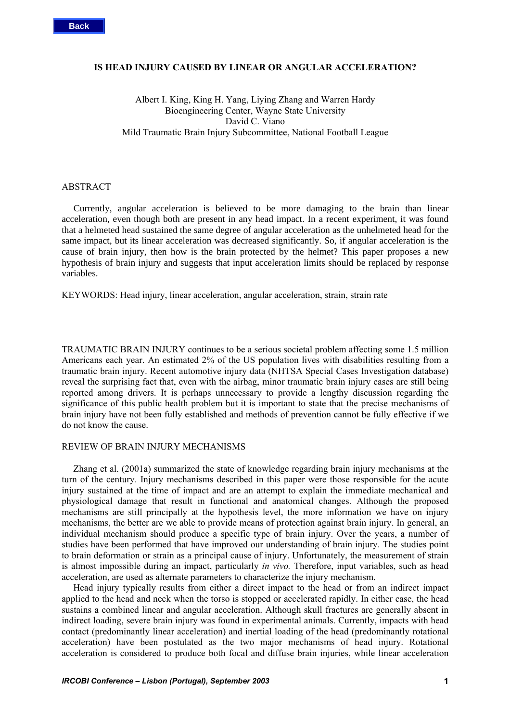#### **IS HEAD INJURY CAUSED BY LINEAR OR ANGULAR ACCELERATION?**

# Albert I. King, King H. Yang, Liying Zhang and Warren Hardy Bioengineering Center, Wayne State University David C. Viano Mild Traumatic Brain Injury Subcommittee, National Football League

## **ABSTRACT**

 Currently, angular acceleration is believed to be more damaging to the brain than linear acceleration, even though both are present in any head impact. In a recent experiment, it was found that a helmeted head sustained the same degree of angular acceleration as the unhelmeted head for the same impact, but its linear acceleration was decreased significantly. So, if angular acceleration is the cause of brain injury, then how is the brain protected by the helmet? This paper proposes a new hypothesis of brain injury and suggests that input acceleration limits should be replaced by response variables.

KEYWORDS: Head injury, linear acceleration, angular acceleration, strain, strain rate

TRAUMATIC BRAIN INJURY continues to be a serious societal problem affecting some 1.5 million Americans each year. An estimated 2% of the US population lives with disabilities resulting from a traumatic brain injury. Recent automotive injury data (NHTSA Special Cases Investigation database) reveal the surprising fact that, even with the airbag, minor traumatic brain injury cases are still being reported among drivers. It is perhaps unnecessary to provide a lengthy discussion regarding the significance of this public health problem but it is important to state that the precise mechanisms of brain injury have not been fully established and methods of prevention cannot be fully effective if we do not know the cause.

# REVIEW OF BRAIN INJURY MECHANISMS

Zhang et al. (2001a) summarized the state of knowledge regarding brain injury mechanisms at the turn of the century. Injury mechanisms described in this paper were those responsible for the acute injury sustained at the time of impact and are an attempt to explain the immediate mechanical and physiological damage that result in functional and anatomical changes. Although the proposed mechanisms are still principally at the hypothesis level, the more information we have on injury mechanisms, the better are we able to provide means of protection against brain injury. In general, an individual mechanism should produce a specific type of brain injury. Over the years, a number of studies have been performed that have improved our understanding of brain injury. The studies point to brain deformation or strain as a principal cause of injury. Unfortunately, the measurement of strain is almost impossible during an impact, particularly *in vivo.* Therefore, input variables, such as head acceleration, are used as alternate parameters to characterize the injury mechanism.

Head injury typically results from either a direct impact to the head or from an indirect impact applied to the head and neck when the torso is stopped or accelerated rapidly. In either case, the head sustains a combined linear and angular acceleration. Although skull fractures are generally absent in indirect loading, severe brain injury was found in experimental animals. Currently, impacts with head contact (predominantly linear acceleration) and inertial loading of the head (predominantly rotational acceleration) have been postulated as the two major mechanisms of head injury. Rotational acceleration is considered to produce both focal and diffuse brain injuries, while linear acceleration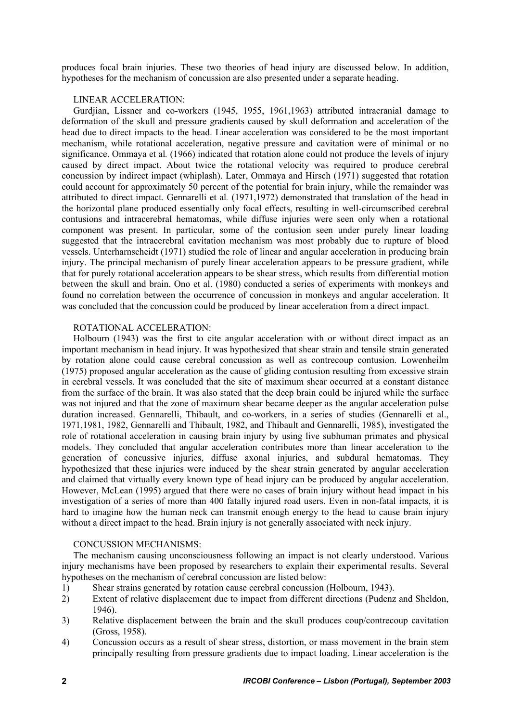produces focal brain injuries. These two theories of head injury are discussed below. In addition, hypotheses for the mechanism of concussion are also presented under a separate heading.

## LINEAR ACCELERATION:

Gurdjian, Lissner and co-workers (1945, 1955, 1961,1963) attributed intracranial damage to deformation of the skull and pressure gradients caused by skull deformation and acceleration of the head due to direct impacts to the head. Linear acceleration was considered to be the most important mechanism, while rotational acceleration, negative pressure and cavitation were of minimal or no significance. Ommaya et al*.* (1966) indicated that rotation alone could not produce the levels of injury caused by direct impact. About twice the rotational velocity was required to produce cerebral concussion by indirect impact (whiplash). Later, Ommaya and Hirsch (1971) suggested that rotation could account for approximately 50 percent of the potential for brain injury, while the remainder was attributed to direct impact. Gennarelli et al*.* (1971,1972) demonstrated that translation of the head in the horizontal plane produced essentially only focal effects, resulting in well-circumscribed cerebral contusions and intracerebral hematomas, while diffuse injuries were seen only when a rotational component was present. In particular, some of the contusion seen under purely linear loading suggested that the intracerebral cavitation mechanism was most probably due to rupture of blood vessels. Unterharnscheidt (1971) studied the role of linear and angular acceleration in producing brain injury. The principal mechanism of purely linear acceleration appears to be pressure gradient, while that for purely rotational acceleration appears to be shear stress, which results from differential motion between the skull and brain. Ono et al. (1980) conducted a series of experiments with monkeys and found no correlation between the occurrence of concussion in monkeys and angular acceleration. It was concluded that the concussion could be produced by linear acceleration from a direct impact.

## ROTATIONAL ACCELERATION:

Holbourn (1943) was the first to cite angular acceleration with or without direct impact as an important mechanism in head injury. It was hypothesized that shear strain and tensile strain generated by rotation alone could cause cerebral concussion as well as contrecoup contusion. Lowenheilm (1975) proposed angular acceleration as the cause of gliding contusion resulting from excessive strain in cerebral vessels. It was concluded that the site of maximum shear occurred at a constant distance from the surface of the brain. It was also stated that the deep brain could be injured while the surface was not injured and that the zone of maximum shear became deeper as the angular acceleration pulse duration increased. Gennarelli, Thibault, and co-workers, in a series of studies (Gennarelli et al., 1971,1981, 1982, Gennarelli and Thibault, 1982, and Thibault and Gennarelli, 1985), investigated the role of rotational acceleration in causing brain injury by using live subhuman primates and physical models. They concluded that angular acceleration contributes more than linear acceleration to the generation of concussive injuries, diffuse axonal injuries, and subdural hematomas. They hypothesized that these injuries were induced by the shear strain generated by angular acceleration and claimed that virtually every known type of head injury can be produced by angular acceleration. However, McLean (1995) argued that there were no cases of brain injury without head impact in his investigation of a series of more than 400 fatally injured road users. Even in non-fatal impacts, it is hard to imagine how the human neck can transmit enough energy to the head to cause brain injury without a direct impact to the head. Brain injury is not generally associated with neck injury.

## CONCUSSION MECHANISMS:

The mechanism causing unconsciousness following an impact is not clearly understood. Various injury mechanisms have been proposed by researchers to explain their experimental results. Several hypotheses on the mechanism of cerebral concussion are listed below:

- 1) Shear strains generated by rotation cause cerebral concussion (Holbourn, 1943).
- 2) Extent of relative displacement due to impact from different directions (Pudenz and Sheldon, 1946).
- 3) Relative displacement between the brain and the skull produces coup/contrecoup cavitation (Gross, 1958).
- 4) Concussion occurs as a result of shear stress, distortion, or mass movement in the brain stem principally resulting from pressure gradients due to impact loading. Linear acceleration is the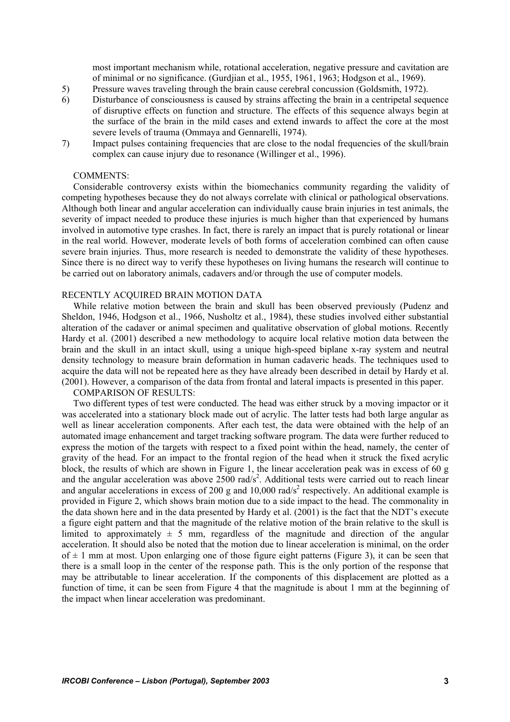most important mechanism while, rotational acceleration, negative pressure and cavitation are of minimal or no significance. (Gurdjian et al., 1955, 1961, 1963; Hodgson et al., 1969).

- 5) Pressure waves traveling through the brain cause cerebral concussion (Goldsmith, 1972).
- 6) Disturbance of consciousness is caused by strains affecting the brain in a centripetal sequence of disruptive effects on function and structure. The effects of this sequence always begin at the surface of the brain in the mild cases and extend inwards to affect the core at the most severe levels of trauma (Ommaya and Gennarelli, 1974).
- 7) Impact pulses containing frequencies that are close to the nodal frequencies of the skull/brain complex can cause injury due to resonance (Willinger et al., 1996).

### COMMENTS:

Considerable controversy exists within the biomechanics community regarding the validity of competing hypotheses because they do not always correlate with clinical or pathological observations. Although both linear and angular acceleration can individually cause brain injuries in test animals, the severity of impact needed to produce these injuries is much higher than that experienced by humans involved in automotive type crashes. In fact, there is rarely an impact that is purely rotational or linear in the real world. However, moderate levels of both forms of acceleration combined can often cause severe brain injuries. Thus, more research is needed to demonstrate the validity of these hypotheses. Since there is no direct way to verify these hypotheses on living humans the research will continue to be carried out on laboratory animals, cadavers and/or through the use of computer models.

## RECENTLY ACQUIRED BRAIN MOTION DATA

While relative motion between the brain and skull has been observed previously (Pudenz and Sheldon, 1946, Hodgson et al., 1966, Nusholtz et al., 1984), these studies involved either substantial alteration of the cadaver or animal specimen and qualitative observation of global motions. Recently Hardy et al. (2001) described a new methodology to acquire local relative motion data between the brain and the skull in an intact skull, using a unique high-speed biplane x-ray system and neutral density technology to measure brain deformation in human cadaveric heads. The techniques used to acquire the data will not be repeated here as they have already been described in detail by Hardy et al. (2001). However, a comparison of the data from frontal and lateral impacts is presented in this paper.

### COMPARISON OF RESULTS:

Two different types of test were conducted. The head was either struck by a moving impactor or it was accelerated into a stationary block made out of acrylic. The latter tests had both large angular as well as linear acceleration components. After each test, the data were obtained with the help of an automated image enhancement and target tracking software program. The data were further reduced to express the motion of the targets with respect to a fixed point within the head, namely, the center of gravity of the head. For an impact to the frontal region of the head when it struck the fixed acrylic block, the results of which are shown in Figure 1, the linear acceleration peak was in excess of 60 g and the angular acceleration was above  $2500 \text{ rad/s}^2$ . Additional tests were carried out to reach linear and angular accelerations in excess of 200 g and 10,000 rad/s<sup>2</sup> respectively. An additional example is provided in Figure 2, which shows brain motion due to a side impact to the head. The commonality in the data shown here and in the data presented by Hardy et al. (2001) is the fact that the NDT's execute a figure eight pattern and that the magnitude of the relative motion of the brain relative to the skull is limited to approximately  $\pm$  5 mm, regardless of the magnitude and direction of the angular acceleration. It should also be noted that the motion due to linear acceleration is minimal, on the order of  $\pm$  1 mm at most. Upon enlarging one of those figure eight patterns (Figure 3), it can be seen that there is a small loop in the center of the response path. This is the only portion of the response that may be attributable to linear acceleration. If the components of this displacement are plotted as a function of time, it can be seen from Figure 4 that the magnitude is about 1 mm at the beginning of the impact when linear acceleration was predominant.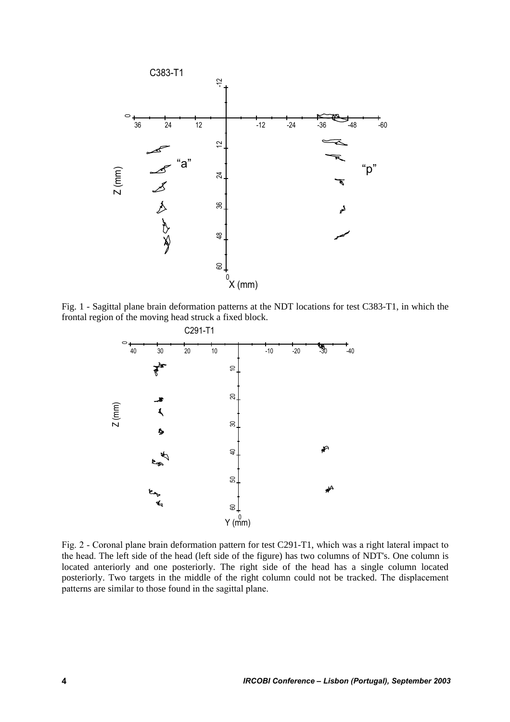

Fig. 1 - Sagittal plane brain deformation patterns at the NDT locations for test C383-T1, in which the frontal region of the moving head struck a fixed block.



Fig. 2 - Coronal plane brain deformation pattern for test C291-T1, which was a right lateral impact to the head. The left side of the head (left side of the figure) has two columns of NDT's. One column is located anteriorly and one posteriorly. The right side of the head has a single column located posteriorly. Two targets in the middle of the right column could not be tracked. The displacement patterns are similar to those found in the sagittal plane.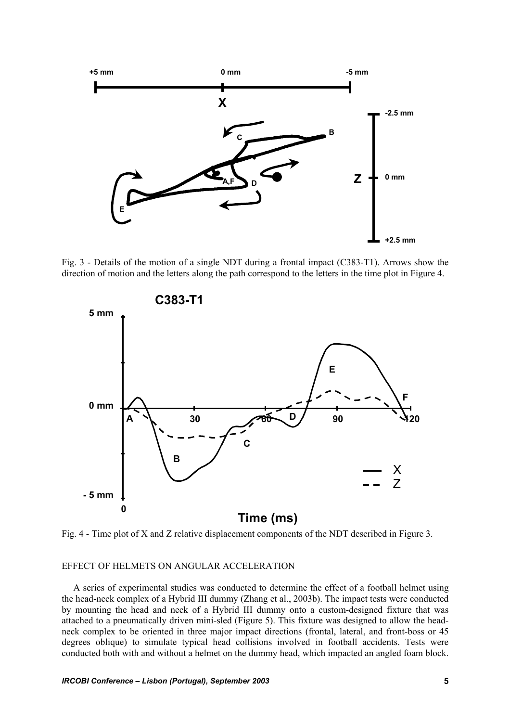

Fig. 3 - Details of the motion of a single NDT during a frontal impact (C383-T1). Arrows show the direction of motion and the letters along the path correspond to the letters in the time plot in Figure 4.



Fig. 4 - Time plot of X and Z relative displacement components of the NDT described in Figure 3.

#### EFFECT OF HELMETS ON ANGULAR ACCELERATION

A series of experimental studies was conducted to determine the effect of a football helmet using the head-neck complex of a Hybrid III dummy (Zhang et al., 2003b). The impact tests were conducted by mounting the head and neck of a Hybrid III dummy onto a custom-designed fixture that was attached to a pneumatically driven mini-sled (Figure 5). This fixture was designed to allow the headneck complex to be oriented in three major impact directions (frontal, lateral, and front-boss or 45 degrees oblique) to simulate typical head collisions involved in football accidents. Tests were conducted both with and without a helmet on the dummy head, which impacted an angled foam block.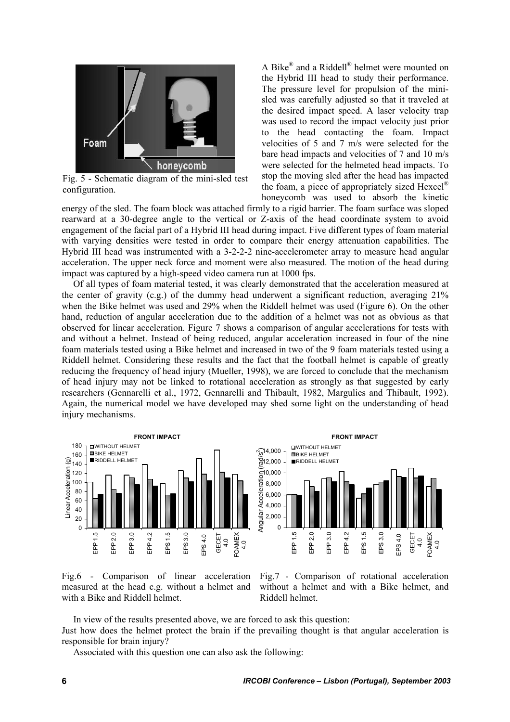

Fig. 5 - Schematic diagram of the mini-sled test configuration.

A Bike® and a Riddell® helmet were mounted on the Hybrid III head to study their performance. The pressure level for propulsion of the minisled was carefully adjusted so that it traveled at the desired impact speed. A laser velocity trap was used to record the impact velocity just prior to the head contacting the foam. Impact velocities of 5 and 7 m/s were selected for the bare head impacts and velocities of 7 and 10 m/s were selected for the helmeted head impacts. To stop the moving sled after the head has impacted the foam, a piece of appropriately sized Hexcel® honeycomb was used to absorb the kinetic

energy of the sled. The foam block was attached firmly to a rigid barrier. The foam surface was sloped rearward at a 30-degree angle to the vertical or Z-axis of the head coordinate system to avoid engagement of the facial part of a Hybrid III head during impact. Five different types of foam material with varying densities were tested in order to compare their energy attenuation capabilities. The Hybrid III head was instrumented with a 3-2-2-2 nine-accelerometer array to measure head angular acceleration. The upper neck force and moment were also measured. The motion of the head during impact was captured by a high-speed video camera run at 1000 fps.

Of all types of foam material tested, it was clearly demonstrated that the acceleration measured at the center of gravity (c.g.) of the dummy head underwent a significant reduction, averaging 21% when the Bike helmet was used and 29% when the Riddell helmet was used (Figure 6). On the other hand, reduction of angular acceleration due to the addition of a helmet was not as obvious as that observed for linear acceleration. Figure 7 shows a comparison of angular accelerations for tests with and without a helmet. Instead of being reduced, angular acceleration increased in four of the nine foam materials tested using a Bike helmet and increased in two of the 9 foam materials tested using a Riddell helmet. Considering these results and the fact that the football helmet is capable of greatly reducing the frequency of head injury (Mueller, 1998), we are forced to conclude that the mechanism of head injury may not be linked to rotational acceleration as strongly as that suggested by early researchers (Gennarelli et al., 1972, Gennarelli and Thibault, 1982, Margulies and Thibault, 1992). Again, the numerical model we have developed may shed some light on the understanding of head injury mechanisms.





Fig.6 - Comparison of linear acceleration measured at the head c.g. without a helmet and with a Bike and Riddell helmet.

Fig.7 - Comparison of rotational acceleration without a helmet and with a Bike helmet, and Riddell helmet.

In view of the results presented above, we are forced to ask this question: Just how does the helmet protect the brain if the prevailing thought is that angular acceleration is responsible for brain injury?

Associated with this question one can also ask the following: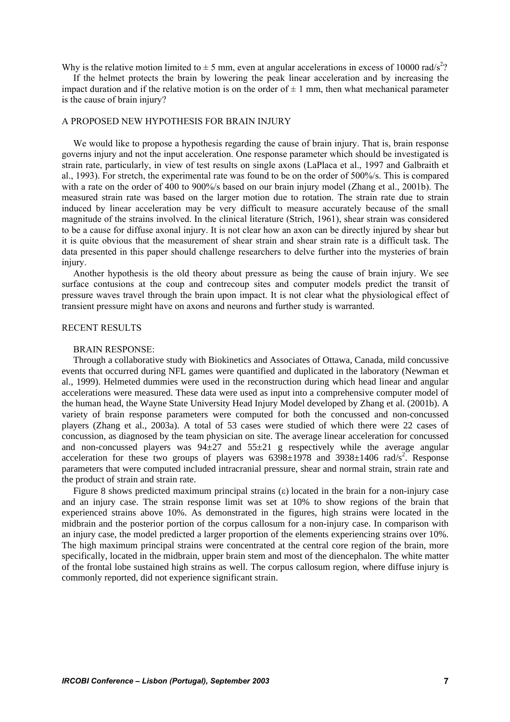Why is the relative motion limited to  $\pm$  5 mm, even at angular accelerations in excess of 10000 rad/s<sup>2</sup>?

If the helmet protects the brain by lowering the peak linear acceleration and by increasing the impact duration and if the relative motion is on the order of  $\pm 1$  mm, then what mechanical parameter is the cause of brain injury?

## A PROPOSED NEW HYPOTHESIS FOR BRAIN INJURY

We would like to propose a hypothesis regarding the cause of brain injury. That is, brain response governs injury and not the input acceleration. One response parameter which should be investigated is strain rate, particularly, in view of test results on single axons (LaPlaca et al., 1997 and Galbraith et al., 1993). For stretch, the experimental rate was found to be on the order of 500%/s. This is compared with a rate on the order of 400 to 900%/s based on our brain injury model (Zhang et al., 2001b). The measured strain rate was based on the larger motion due to rotation. The strain rate due to strain induced by linear acceleration may be very difficult to measure accurately because of the small magnitude of the strains involved. In the clinical literature (Strich, 1961), shear strain was considered to be a cause for diffuse axonal injury. It is not clear how an axon can be directly injured by shear but it is quite obvious that the measurement of shear strain and shear strain rate is a difficult task. The data presented in this paper should challenge researchers to delve further into the mysteries of brain injury.

Another hypothesis is the old theory about pressure as being the cause of brain injury. We see surface contusions at the coup and contrecoup sites and computer models predict the transit of pressure waves travel through the brain upon impact. It is not clear what the physiological effect of transient pressure might have on axons and neurons and further study is warranted.

## RECENT RESULTS

#### BRAIN RESPONSE:

Through a collaborative study with Biokinetics and Associates of Ottawa, Canada, mild concussive events that occurred during NFL games were quantified and duplicated in the laboratory (Newman et al., 1999). Helmeted dummies were used in the reconstruction during which head linear and angular accelerations were measured. These data were used as input into a comprehensive computer model of the human head, the Wayne State University Head Injury Model developed by Zhang et al. (2001b). A variety of brain response parameters were computed for both the concussed and non-concussed players (Zhang et al., 2003a). A total of 53 cases were studied of which there were 22 cases of concussion, as diagnosed by the team physician on site. The average linear acceleration for concussed and non-concussed players was  $94\pm 27$  and  $55\pm 21$  g respectively while the average angular acceleration for these two groups of players was  $6398 \pm 1978$  and  $3938 \pm 1406$  rad/s<sup>2</sup>. Response parameters that were computed included intracranial pressure, shear and normal strain, strain rate and the product of strain and strain rate.

Figure 8 shows predicted maximum principal strains (ε) located in the brain for a non-injury case and an injury case. The strain response limit was set at 10% to show regions of the brain that experienced strains above 10%. As demonstrated in the figures, high strains were located in the midbrain and the posterior portion of the corpus callosum for a non-injury case. In comparison with an injury case, the model predicted a larger proportion of the elements experiencing strains over 10%. The high maximum principal strains were concentrated at the central core region of the brain, more specifically, located in the midbrain, upper brain stem and most of the diencephalon. The white matter of the frontal lobe sustained high strains as well. The corpus callosum region, where diffuse injury is commonly reported, did not experience significant strain.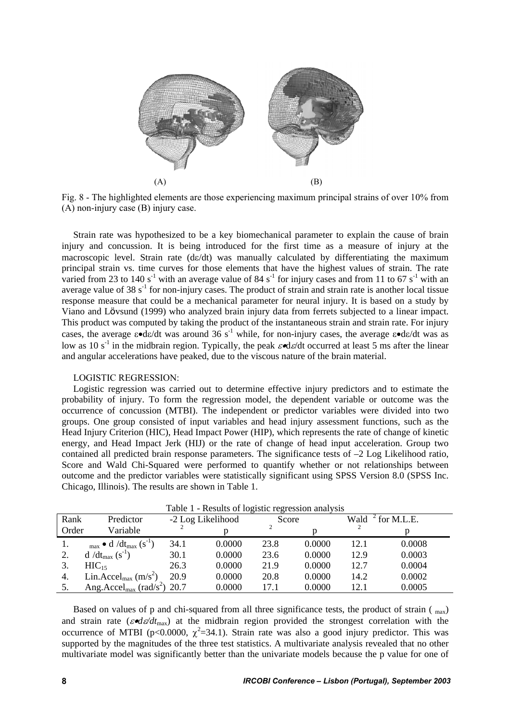

Fig. 8 - The highlighted elements are those experiencing maximum principal strains of over 10% from (A) non-injury case (B) injury case.

Strain rate was hypothesized to be a key biomechanical parameter to explain the cause of brain injury and concussion. It is being introduced for the first time as a measure of injury at the macroscopic level. Strain rate  $(d\varepsilon/dt)$  was manually calculated by differentiating the maximum principal strain vs. time curves for those elements that have the highest values of strain. The rate varied from 23 to 140 s<sup>-1</sup> with an average value of 84 s<sup>-1</sup> for injury cases and from 11 to 67 s<sup>-1</sup> with an average value of 38  $s<sup>-1</sup>$  for non-injury cases. The product of strain and strain rate is another local tissue response measure that could be a mechanical parameter for neural injury. It is based on a study by Viano and Lövsund (1999) who analyzed brain injury data from ferrets subjected to a linear impact. This product was computed by taking the product of the instantaneous strain and strain rate. For injury cases, the average  $\varepsilon \cdot d\varepsilon/dt$  was around 36 s<sup>-1</sup> while, for non-injury cases, the average  $\varepsilon \cdot d\varepsilon/dt$  was as low as 10 s<sup>-1</sup> in the midbrain region. Typically, the peak  $\varepsilon \triangleleft \varepsilon/dt$  occurred at least 5 ms after the linear and angular accelerations have peaked, due to the viscous nature of the brain material.

#### LOGISTIC REGRESSION:

Logistic regression was carried out to determine effective injury predictors and to estimate the probability of injury. To form the regression model, the dependent variable or outcome was the occurrence of concussion (MTBI). The independent or predictor variables were divided into two groups. One group consisted of input variables and head injury assessment functions, such as the Head Injury Criterion (HIC), Head Impact Power (HIP), which represents the rate of change of kinetic energy, and Head Impact Jerk (HIJ) or the rate of change of head input acceleration. Group two contained all predicted brain response parameters. The significance tests of –2 Log Likelihood ratio, Score and Wald Chi-Squared were performed to quantify whether or not relationships between outcome and the predictor variables were statistically significant using SPSS Version 8.0 (SPSS Inc. Chicago, Illinois). The results are shown in Table 1.

| Table 1 - Results of logistic regression analysis |                                                      |      |                   |       |        |      |            |  |  |
|---------------------------------------------------|------------------------------------------------------|------|-------------------|-------|--------|------|------------|--|--|
| Rank                                              | Predictor                                            |      | -2 Log Likelihood | Score |        | Wald | for M.L.E. |  |  |
| Order                                             | Variable                                             |      |                   |       |        |      |            |  |  |
|                                                   | $_{\text{max}} \bullet d / dt_{\text{max}} (s^{-1})$ | 34.1 | 0.0000            | 23.8  | 0.0000 | 12.1 | 0.0008     |  |  |
|                                                   | $d/dt_{max} (s^{-1})$                                | 30.1 | 0.0000            | 23.6  | 0.0000 | 12.9 | 0.0003     |  |  |
|                                                   | $HIC_{15}$                                           | 26.3 | 0.0000            | 21.9  | 0.0000 | 12.7 | 0.0004     |  |  |
| 4.                                                | Lin.Accel <sub>max</sub> $(m/s^2)$                   | 20.9 | 0.0000            | 20.8  | 0.0000 | 14.2 | 0.0002     |  |  |
|                                                   | Ang. Accel <sub>max</sub> (rad/s <sup>2</sup> )      | 20.7 | 0.0000            | 17.1  | 0.0000 | 12.1 | 0.0005     |  |  |

Based on values of p and chi-squared from all three significance tests, the product of strain ( $_{\text{max}}$ ) and strain rate ( $\varepsilon \cdot d\varepsilon/dt_{\text{max}}$ ) at the midbrain region provided the strongest correlation with the occurrence of MTBI (p<0.0000,  $\chi^2$ =34.1). Strain rate was also a good injury predictor. This was supported by the magnitudes of the three test statistics. A multivariate analysis revealed that no other multivariate model was significantly better than the univariate models because the p value for one of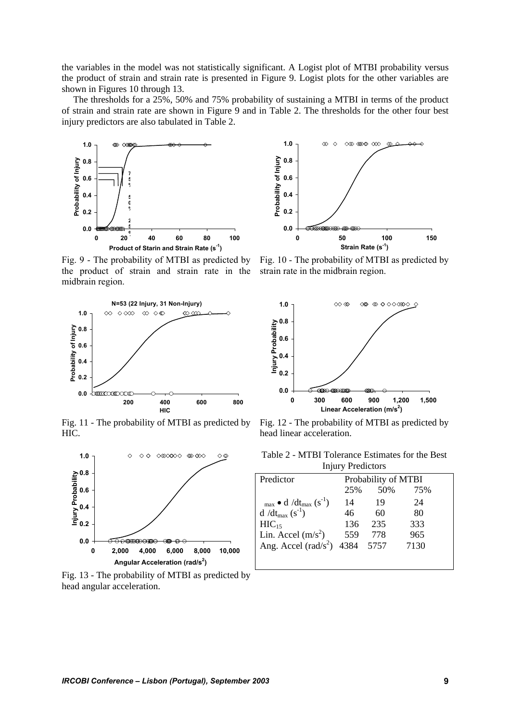the variables in the model was not statistically significant. A Logist plot of MTBI probability versus the product of strain and strain rate is presented in Figure 9. Logist plots for the other variables are shown in Figures 10 through 13.

The thresholds for a 25%, 50% and 75% probability of sustaining a MTBI in terms of the product of strain and strain rate are shown in Figure 9 and in Table 2. The thresholds for the other four best injury predictors are also tabulated in Table 2.



Fig. 9 - The probability of MTBI as predicted by the product of strain and strain rate in the strain rate in the midbrain region. midbrain region.



Fig. 11 - The probability of MTBI as predicted by HIC.



Fig. 13 - The probability of MTBI as predicted by head angular acceleration.



Fig. 10 - The probability of MTBI as predicted by



Fig. 12 - The probability of MTBI as predicted by head linear acceleration.

| Table 2 - MTBI Tolerance Estimates for the Best |  |  |  |  |  |  |  |
|-------------------------------------------------|--|--|--|--|--|--|--|
| <b>Injury Predictors</b>                        |  |  |  |  |  |  |  |

| Predictor                                            | Probability of MTBI |      |      |  |  |
|------------------------------------------------------|---------------------|------|------|--|--|
|                                                      | 25%                 | 50%  | 75%  |  |  |
| $_{\text{max}} \bullet d / dt_{\text{max}} (s^{-1})$ | 14                  | 19   | 24   |  |  |
| $d/dt_{max}$ (s <sup>-1</sup> )                      | 46                  | 60   | 80   |  |  |
| $HIC_{15}$                                           | 136                 | 235  | 333  |  |  |
| Lin. Accel $(m/s^2)$                                 | 559                 | 778  | 965  |  |  |
| Ang. Accel (rad/s <sup>2</sup> ) 4384                |                     | 5757 | 7130 |  |  |
|                                                      |                     |      |      |  |  |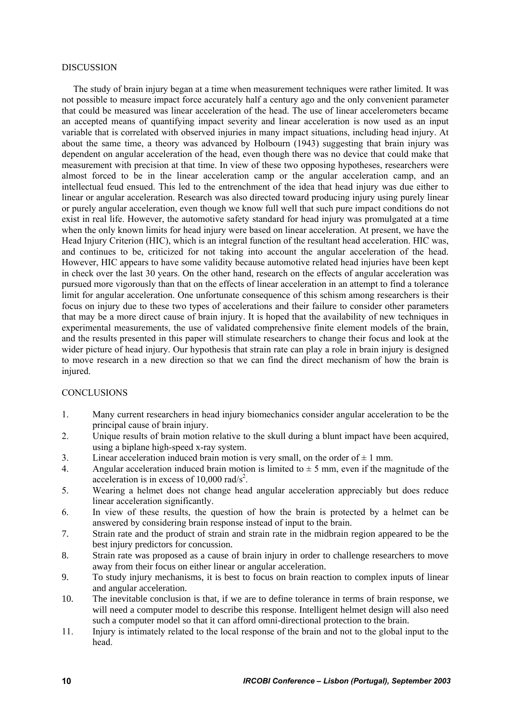#### DISCUSSION

The study of brain injury began at a time when measurement techniques were rather limited. It was not possible to measure impact force accurately half a century ago and the only convenient parameter that could be measured was linear acceleration of the head. The use of linear accelerometers became an accepted means of quantifying impact severity and linear acceleration is now used as an input variable that is correlated with observed injuries in many impact situations, including head injury. At about the same time, a theory was advanced by Holbourn (1943) suggesting that brain injury was dependent on angular acceleration of the head, even though there was no device that could make that measurement with precision at that time. In view of these two opposing hypotheses, researchers were almost forced to be in the linear acceleration camp or the angular acceleration camp, and an intellectual feud ensued. This led to the entrenchment of the idea that head injury was due either to linear or angular acceleration. Research was also directed toward producing injury using purely linear or purely angular acceleration, even though we know full well that such pure impact conditions do not exist in real life. However, the automotive safety standard for head injury was promulgated at a time when the only known limits for head injury were based on linear acceleration. At present, we have the Head Injury Criterion (HIC), which is an integral function of the resultant head acceleration. HIC was, and continues to be, criticized for not taking into account the angular acceleration of the head. However, HIC appears to have some validity because automotive related head injuries have been kept in check over the last 30 years. On the other hand, research on the effects of angular acceleration was pursued more vigorously than that on the effects of linear acceleration in an attempt to find a tolerance limit for angular acceleration. One unfortunate consequence of this schism among researchers is their focus on injury due to these two types of accelerations and their failure to consider other parameters that may be a more direct cause of brain injury. It is hoped that the availability of new techniques in experimental measurements, the use of validated comprehensive finite element models of the brain, and the results presented in this paper will stimulate researchers to change their focus and look at the wider picture of head injury. Our hypothesis that strain rate can play a role in brain injury is designed to move research in a new direction so that we can find the direct mechanism of how the brain is injured.

### **CONCLUSIONS**

- 1. Many current researchers in head injury biomechanics consider angular acceleration to be the principal cause of brain injury.
- 2. Unique results of brain motion relative to the skull during a blunt impact have been acquired, using a biplane high-speed x-ray system.
- 3. Linear acceleration induced brain motion is very small, on the order of  $\pm 1$  mm.
- 4. Angular acceleration induced brain motion is limited to  $\pm$  5 mm, even if the magnitude of the acceleration is in excess of  $10,000$  rad/s<sup>2</sup>.
- 5. Wearing a helmet does not change head angular acceleration appreciably but does reduce linear acceleration significantly.
- 6. In view of these results, the question of how the brain is protected by a helmet can be answered by considering brain response instead of input to the brain.
- 7. Strain rate and the product of strain and strain rate in the midbrain region appeared to be the best injury predictors for concussion.
- 8. Strain rate was proposed as a cause of brain injury in order to challenge researchers to move away from their focus on either linear or angular acceleration.
- 9. To study injury mechanisms, it is best to focus on brain reaction to complex inputs of linear and angular acceleration.
- 10. The inevitable conclusion is that, if we are to define tolerance in terms of brain response, we will need a computer model to describe this response. Intelligent helmet design will also need such a computer model so that it can afford omni-directional protection to the brain.
- 11. Injury is intimately related to the local response of the brain and not to the global input to the head.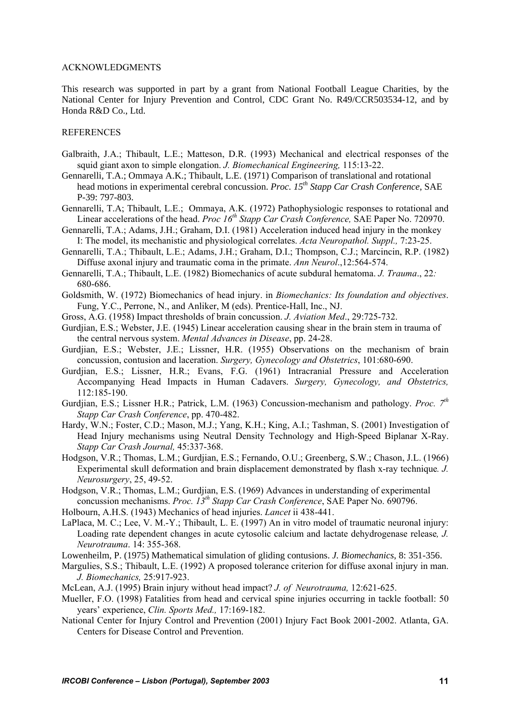#### ACKNOWLEDGMENTS

This research was supported in part by a grant from National Football League Charities, by the National Center for Injury Prevention and Control, CDC Grant No. R49/CCR503534-12, and by Honda R&D Co., Ltd.

### **REFERENCES**

- Galbraith, J.A.; Thibault, L.E.; Matteson, D.R. (1993) Mechanical and electrical responses of the squid giant axon to simple elongation. *J. Biomechanical Engineering,* 115:13-22.
- Gennarelli, T.A.; Ommaya A.K.; Thibault, L.E. (1971) Comparison of translational and rotational head motions in experimental cerebral concussion. *Proc. 15th Stapp Car Crash Conference*, SAE P-39: 797-803.
- Gennarelli, T.A; Thibault, L.E.; Ommaya, A.K. (1972) Pathophysiologic responses to rotational and Linear accelerations of the head. *Proc 16<sup>th</sup> Stapp Car Crash Conference*, SAE Paper No. 720970.
- Gennarelli, T.A.; Adams, J.H.; Graham, D.I. (1981) Acceleration induced head injury in the monkey I: The model, its mechanistic and physiological correlates. *Acta Neuropathol. Suppl.,* 7:23-25.
- Gennarelli, T.A.; Thibault, L.E.; Adams, J.H.; Graham, D.I.; Thompson, C.J.; Marcincin, R.P. (1982) Diffuse axonal injury and traumatic coma in the primate. *Ann Neurol*.,12:564-574.
- Gennarelli, T.A.; Thibault, L.E. (1982) Biomechanics of acute subdural hematoma. *J. Trauma*., 22*:*  680-686.
- Goldsmith, W. (1972) Biomechanics of head injury. in *Biomechanics: Its foundation and objectives*. Fung, Y.C., Perrone, N., and Anliker, M (eds). Prentice-Hall, Inc., NJ.
- Gross, A.G. (1958) Impact thresholds of brain concussion. *J. Aviation Med*., 29:725-732.
- Gurdjian, E.S.; Webster, J.E. (1945) Linear acceleration causing shear in the brain stem in trauma of the central nervous system. *Mental Advances in Disease*, pp. 24-28.
- Gurdjian, E.S.; Webster, J.E.; Lissner, H.R. (1955) Observations on the mechanism of brain concussion, contusion and laceration. *Surgery, Gynecology and Obstetrics*, 101:680-690.
- Gurdjian, E.S.; Lissner, H.R.; Evans, F.G. (1961) Intracranial Pressure and Acceleration Accompanying Head Impacts in Human Cadavers. *Surgery, Gynecology, and Obstetrics,* 112:185-190.
- Gurdjian, E.S.; Lissner H.R.; Patrick, L.M. (1963) Concussion-mechanism and pathology. *Proc.* 7<sup>th</sup> *Stapp Car Crash Conference*, pp. 470-482.
- Hardy, W.N.; Foster, C.D.; Mason, M.J.; Yang, K.H.; King, A.I.; Tashman, S. (2001) Investigation of Head Injury mechanisms using Neutral Density Technology and High-Speed Biplanar X-Ray. *Stapp Car Crash Journal,* 45:337-368.
- Hodgson, V.R.; Thomas, L.M.; Gurdjian, E.S.; Fernando, O.U.; Greenberg, S.W.; Chason, J.L. (1966) Experimental skull deformation and brain displacement demonstrated by flash x-ray technique*. J. Neurosurgery*, 25, 49-52.
- Hodgson, V.R.; Thomas, L.M.; Gurdjian, E.S. (1969) Advances in understanding of experimental concussion mechanisms. *Proc. 13th Stapp Car Crash Conference*, SAE Paper No. 690796.
- Holbourn, A.H.S. (1943) Mechanics of head injuries. *Lancet* ii 438-441.
- LaPlaca, M. C.; Lee, V. M.-Y.; Thibault, L. E. (1997) An in vitro model of traumatic neuronal injury: Loading rate dependent changes in acute cytosolic calcium and lactate dehydrogenase release*, J. Neurotrauma*. 14: 355-368.

Lowenheilm, P. (1975) Mathematical simulation of gliding contusions. *J. Biomechanics*, 8: 351-356.

- Margulies, S.S.; Thibault, L.E. (1992) A proposed tolerance criterion for diffuse axonal injury in man. *J. Biomechanics,* 25:917-923.
- McLean, A.J. (1995) Brain injury without head impact? *J. of Neurotrauma,* 12:621-625.
- Mueller, F.O. (1998) Fatalities from head and cervical spine injuries occurring in tackle football: 50 years' experience, *Clin. Sports Med.,* 17:169-182.
- National Center for Injury Control and Prevention (2001) Injury Fact Book 2001-2002. Atlanta, GA. Centers for Disease Control and Prevention.